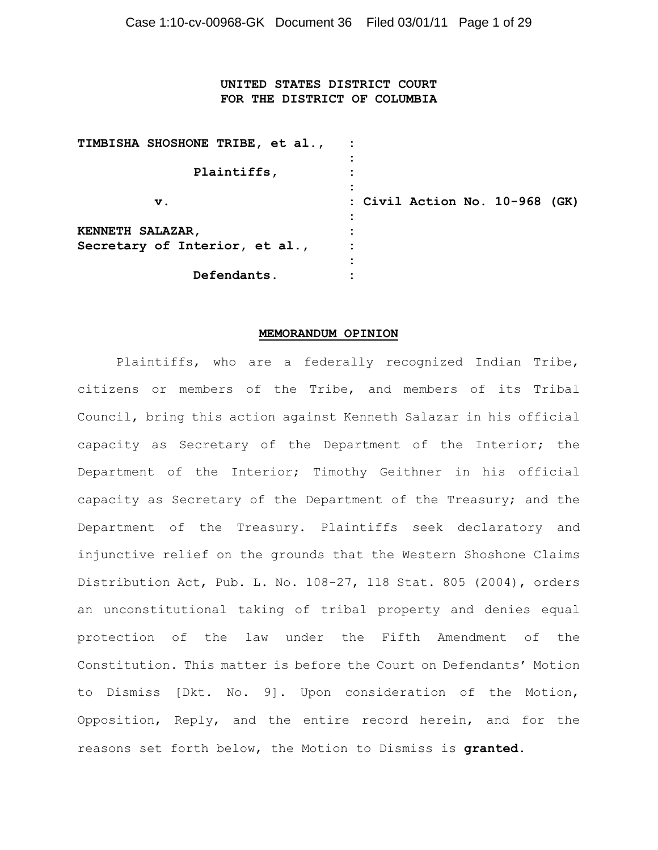### **UNITED STATES DISTRICT COURT FOR THE DISTRICT OF COLUMBIA**

| TIMBISHA SHOSHONE TRIBE, et al., |                                   |
|----------------------------------|-----------------------------------|
|                                  |                                   |
| Plaintiffs,                      | ٠                                 |
|                                  |                                   |
| v.                               | : Civil Action No. 10-968<br>(GK) |
| KENNETH SALAZAR,                 |                                   |
| Secretary of Interior, et al.,   | ٠                                 |
|                                  |                                   |
| Defendants.                      |                                   |

#### **MEMORANDUM OPINION**

Plaintiffs, who are a federally recognized Indian Tribe, citizens or members of the Tribe, and members of its Tribal Council, bring this action against Kenneth Salazar in his official capacity as Secretary of the Department of the Interior; the Department of the Interior; Timothy Geithner in his official capacity as Secretary of the Department of the Treasury; and the Department of the Treasury. Plaintiffs seek declaratory and injunctive relief on the grounds that the Western Shoshone Claims Distribution Act, Pub. L. No. 108-27, 118 Stat. 805 (2004), orders an unconstitutional taking of tribal property and denies equal protection of the law under the Fifth Amendment of the Constitution. This matter is before the Court on Defendants' Motion to Dismiss [Dkt. No. 9]. Upon consideration of the Motion, Opposition, Reply, and the entire record herein, and for the reasons set forth below, the Motion to Dismiss is **granted**.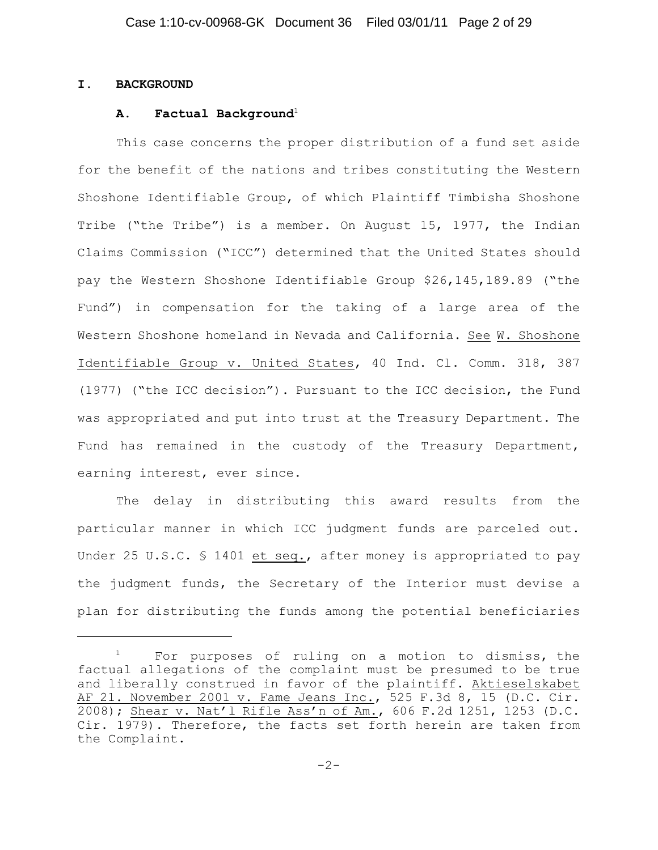#### **I. BACKGROUND**

#### **A. Factual Background**<sup>1</sup>

This case concerns the proper distribution of a fund set aside for the benefit of the nations and tribes constituting the Western Shoshone Identifiable Group, of which Plaintiff Timbisha Shoshone Tribe ("the Tribe") is a member. On August 15, 1977, the Indian Claims Commission ("ICC") determined that the United States should pay the Western Shoshone Identifiable Group \$26,145,189.89 ("the Fund") in compensation for the taking of a large area of the Western Shoshone homeland in Nevada and California. See W. Shoshone Identifiable Group v. United States, 40 Ind. Cl. Comm. 318, 387 (1977) ("the ICC decision"). Pursuant to the ICC decision, the Fund was appropriated and put into trust at the Treasury Department. The Fund has remained in the custody of the Treasury Department, earning interest, ever since.

The delay in distributing this award results from the particular manner in which ICC judgment funds are parceled out. Under 25 U.S.C. § 1401 et seq., after money is appropriated to pay the judgment funds, the Secretary of the Interior must devise a plan for distributing the funds among the potential beneficiaries

For purposes of ruling on a motion to dismiss, the 1 factual allegations of the complaint must be presumed to be true and liberally construed in favor of the plaintiff. Aktieselskabet AF 21. November 2001 v. Fame Jeans Inc., 525 F.3d 8, 15 (D.C. Cir. 2008); Shear v. Nat'l Rifle Ass'n of Am., 606 F.2d 1251, 1253 (D.C. Cir. 1979). Therefore, the facts set forth herein are taken from the Complaint.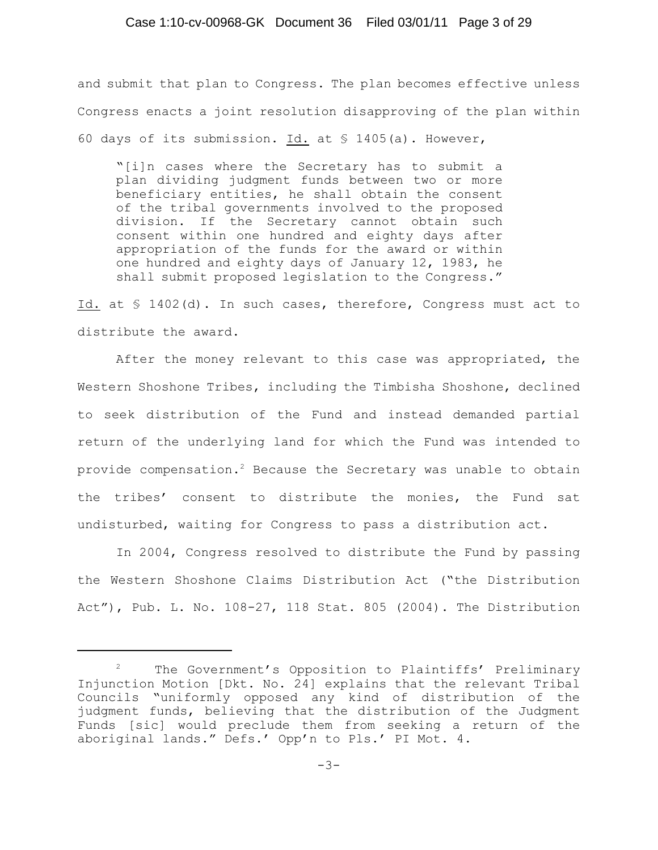### Case 1:10-cv-00968-GK Document 36 Filed 03/01/11 Page 3 of 29

and submit that plan to Congress. The plan becomes effective unless Congress enacts a joint resolution disapproving of the plan within 60 days of its submission. Id. at  $$1405(a)$ . However,

"[i]n cases where the Secretary has to submit a plan dividing judgment funds between two or more beneficiary entities, he shall obtain the consent of the tribal governments involved to the proposed division. If the Secretary cannot obtain such consent within one hundred and eighty days after appropriation of the funds for the award or within one hundred and eighty days of January 12, 1983, he shall submit proposed legislation to the Congress."

Id. at § 1402(d). In such cases, therefore, Congress must act to distribute the award.

After the money relevant to this case was appropriated, the Western Shoshone Tribes, including the Timbisha Shoshone, declined to seek distribution of the Fund and instead demanded partial return of the underlying land for which the Fund was intended to provide compensation.<sup>2</sup> Because the Secretary was unable to obtain the tribes' consent to distribute the monies, the Fund sat undisturbed, waiting for Congress to pass a distribution act.

In 2004, Congress resolved to distribute the Fund by passing the Western Shoshone Claims Distribution Act ("the Distribution Act"), Pub. L. No. 108-27, 118 Stat. 805 (2004). The Distribution

 $2$  The Government's Opposition to Plaintiffs' Preliminary Injunction Motion [Dkt. No. 24] explains that the relevant Tribal Councils "uniformly opposed any kind of distribution of the judgment funds, believing that the distribution of the Judgment Funds [sic] would preclude them from seeking a return of the aboriginal lands." Defs.' Opp'n to Pls.' PI Mot. 4.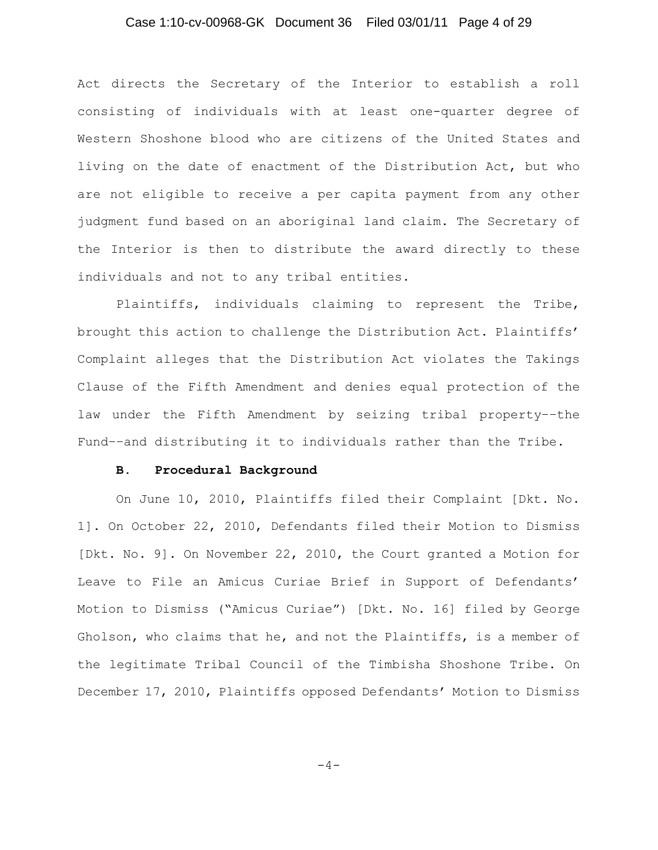### Case 1:10-cv-00968-GK Document 36 Filed 03/01/11 Page 4 of 29

Act directs the Secretary of the Interior to establish a roll consisting of individuals with at least one-quarter degree of Western Shoshone blood who are citizens of the United States and living on the date of enactment of the Distribution Act, but who are not eligible to receive a per capita payment from any other judgment fund based on an aboriginal land claim. The Secretary of the Interior is then to distribute the award directly to these individuals and not to any tribal entities.

Plaintiffs, individuals claiming to represent the Tribe, brought this action to challenge the Distribution Act. Plaintiffs' Complaint alleges that the Distribution Act violates the Takings Clause of the Fifth Amendment and denies equal protection of the law under the Fifth Amendment by seizing tribal property––the Fund––and distributing it to individuals rather than the Tribe.

#### **B. Procedural Background**

On June 10, 2010, Plaintiffs filed their Complaint [Dkt. No. 1]. On October 22, 2010, Defendants filed their Motion to Dismiss [Dkt. No. 9]. On November 22, 2010, the Court granted a Motion for Leave to File an Amicus Curiae Brief in Support of Defendants' Motion to Dismiss ("Amicus Curiae") [Dkt. No. 16] filed by George Gholson, who claims that he, and not the Plaintiffs, is a member of the legitimate Tribal Council of the Timbisha Shoshone Tribe. On December 17, 2010, Plaintiffs opposed Defendants' Motion to Dismiss

 $-4-$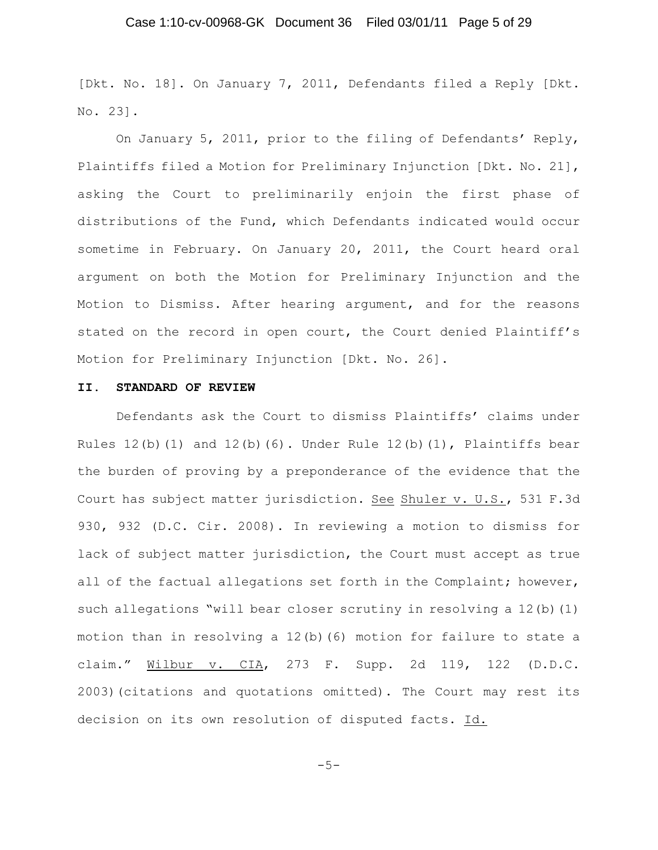### Case 1:10-cv-00968-GK Document 36 Filed 03/01/11 Page 5 of 29

[Dkt. No. 18]. On January 7, 2011, Defendants filed a Reply [Dkt. No. 23].

On January 5, 2011, prior to the filing of Defendants' Reply, Plaintiffs filed a Motion for Preliminary Injunction [Dkt. No. 21], asking the Court to preliminarily enjoin the first phase of distributions of the Fund, which Defendants indicated would occur sometime in February. On January 20, 2011, the Court heard oral argument on both the Motion for Preliminary Injunction and the Motion to Dismiss. After hearing argument, and for the reasons stated on the record in open court, the Court denied Plaintiff's Motion for Preliminary Injunction [Dkt. No. 26].

#### **II. STANDARD OF REVIEW**

Defendants ask the Court to dismiss Plaintiffs' claims under Rules  $12(b)(1)$  and  $12(b)(6)$ . Under Rule  $12(b)(1)$ , Plaintiffs bear the burden of proving by a preponderance of the evidence that the Court has subject matter jurisdiction. See Shuler v. U.S., 531 F.3d 930, 932 (D.C. Cir. 2008). In reviewing a motion to dismiss for lack of subject matter jurisdiction, the Court must accept as true all of the factual allegations set forth in the Complaint; however, such allegations "will bear closer scrutiny in resolving a 12(b)(1) motion than in resolving a 12(b)(6) motion for failure to state a claim." Wilbur v. CIA, 273 F. Supp. 2d 119, 122 (D.D.C. 2003)(citations and quotations omitted). The Court may rest its decision on its own resolution of disputed facts. Id.

$$
-5-
$$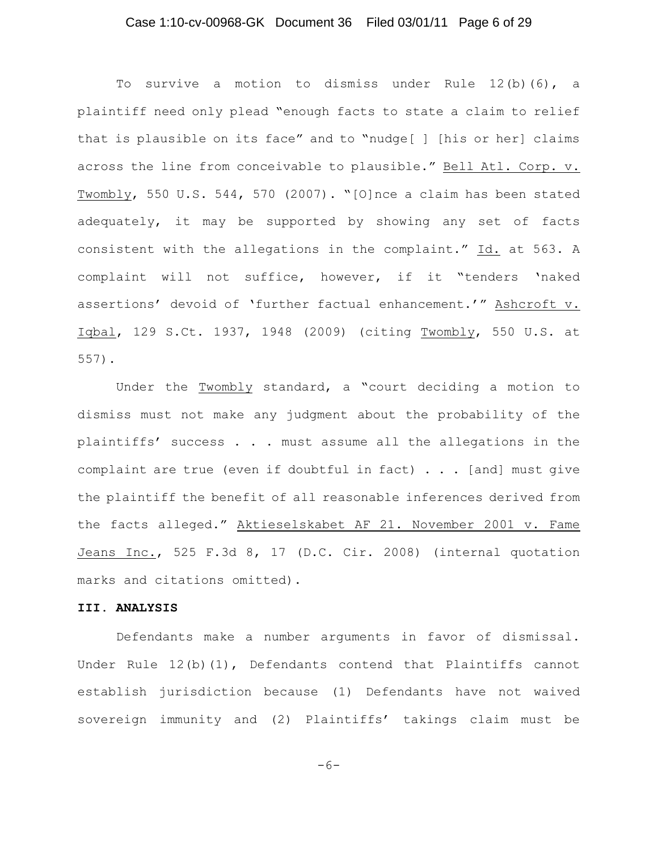# Case 1:10-cv-00968-GK Document 36 Filed 03/01/11 Page 6 of 29

To survive a motion to dismiss under Rule  $12(b)(6)$ , a plaintiff need only plead "enough facts to state a claim to relief that is plausible on its face" and to "nudge[ ] [his or her] claims across the line from conceivable to plausible." Bell Atl. Corp. v. Twombly, 550 U.S. 544, 570 (2007). "[O]nce a claim has been stated adequately, it may be supported by showing any set of facts consistent with the allegations in the complaint." Id. at 563. A complaint will not suffice, however, if it "tenders 'naked assertions' devoid of 'further factual enhancement.'" Ashcroft v. Iqbal, 129 S.Ct. 1937, 1948 (2009) (citing Twombly, 550 U.S. at 557).

Under the Twombly standard, a "court deciding a motion to dismiss must not make any judgment about the probability of the plaintiffs' success . . . must assume all the allegations in the complaint are true (even if doubtful in fact) . . . [and] must give the plaintiff the benefit of all reasonable inferences derived from the facts alleged." Aktieselskabet AF 21. November 2001 v. Fame Jeans Inc., 525 F.3d 8, 17 (D.C. Cir. 2008) (internal quotation marks and citations omitted).

### **III. ANALYSIS**

Defendants make a number arguments in favor of dismissal. Under Rule 12(b)(1), Defendants contend that Plaintiffs cannot establish jurisdiction because (1) Defendants have not waived sovereign immunity and (2) Plaintiffs' takings claim must be

-6-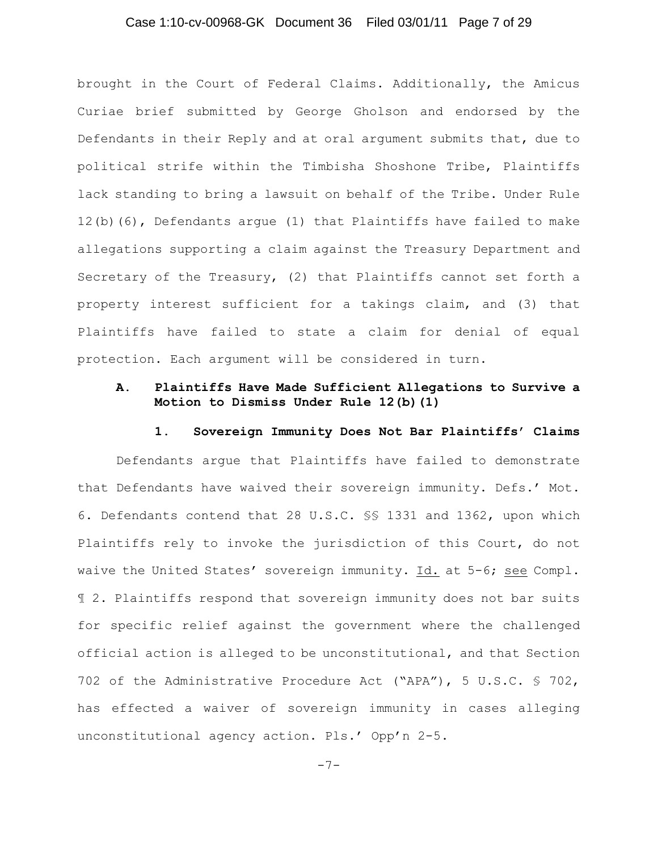## Case 1:10-cv-00968-GK Document 36 Filed 03/01/11 Page 7 of 29

brought in the Court of Federal Claims. Additionally, the Amicus Curiae brief submitted by George Gholson and endorsed by the Defendants in their Reply and at oral argument submits that, due to political strife within the Timbisha Shoshone Tribe, Plaintiffs lack standing to bring a lawsuit on behalf of the Tribe. Under Rule 12(b)(6), Defendants argue (1) that Plaintiffs have failed to make allegations supporting a claim against the Treasury Department and Secretary of the Treasury, (2) that Plaintiffs cannot set forth a property interest sufficient for a takings claim, and (3) that Plaintiffs have failed to state a claim for denial of equal protection. Each argument will be considered in turn.

### **A. Plaintiffs Have Made Sufficient Allegations to Survive a Motion to Dismiss Under Rule 12(b)(1)**

#### **1. Sovereign Immunity Does Not Bar Plaintiffs' Claims**

Defendants argue that Plaintiffs have failed to demonstrate that Defendants have waived their sovereign immunity. Defs.' Mot. 6. Defendants contend that 28 U.S.C. §§ 1331 and 1362, upon which Plaintiffs rely to invoke the jurisdiction of this Court, do not waive the United States' sovereign immunity. Id. at 5-6; see Compl. ¶ 2. Plaintiffs respond that sovereign immunity does not bar suits for specific relief against the government where the challenged official action is alleged to be unconstitutional, and that Section 702 of the Administrative Procedure Act ("APA"), 5 U.S.C. § 702, has effected a waiver of sovereign immunity in cases alleging unconstitutional agency action. Pls.' Opp'n 2-5.

-7-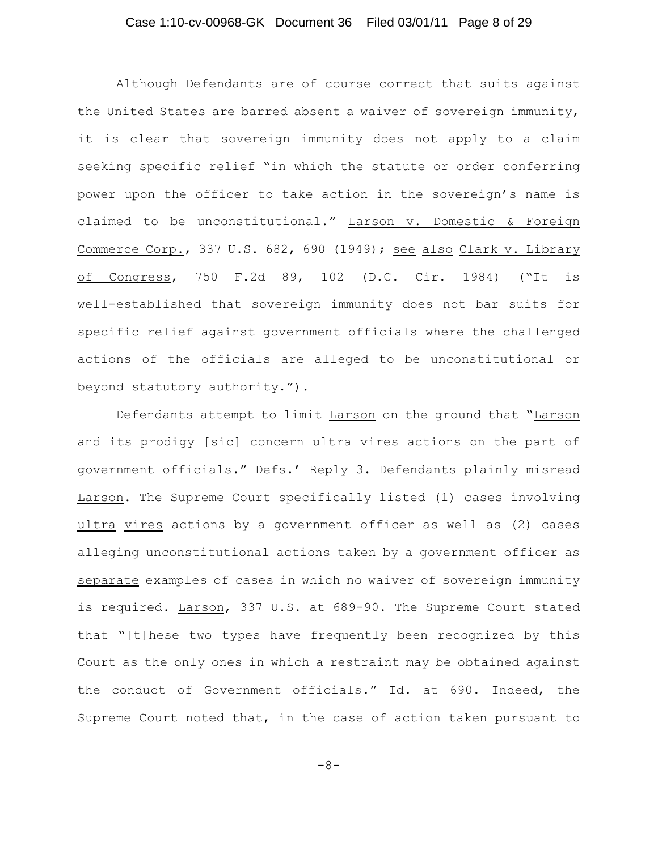## Case 1:10-cv-00968-GK Document 36 Filed 03/01/11 Page 8 of 29

Although Defendants are of course correct that suits against the United States are barred absent a waiver of sovereign immunity, it is clear that sovereign immunity does not apply to a claim seeking specific relief "in which the statute or order conferring power upon the officer to take action in the sovereign's name is claimed to be unconstitutional." Larson v. Domestic & Foreign Commerce Corp., 337 U.S. 682, 690 (1949); see also Clark v. Library of Congress, 750 F.2d 89, 102 (D.C. Cir. 1984) ("It is well-established that sovereign immunity does not bar suits for specific relief against government officials where the challenged actions of the officials are alleged to be unconstitutional or beyond statutory authority.").

Defendants attempt to limit Larson on the ground that "Larson and its prodigy [sic] concern ultra vires actions on the part of government officials." Defs.' Reply 3. Defendants plainly misread Larson. The Supreme Court specifically listed (1) cases involving ultra vires actions by a government officer as well as (2) cases alleging unconstitutional actions taken by a government officer as separate examples of cases in which no waiver of sovereign immunity is required. Larson, 337 U.S. at 689-90. The Supreme Court stated that "[t]hese two types have frequently been recognized by this Court as the only ones in which a restraint may be obtained against the conduct of Government officials." Id. at 690. Indeed, the Supreme Court noted that, in the case of action taken pursuant to

-8-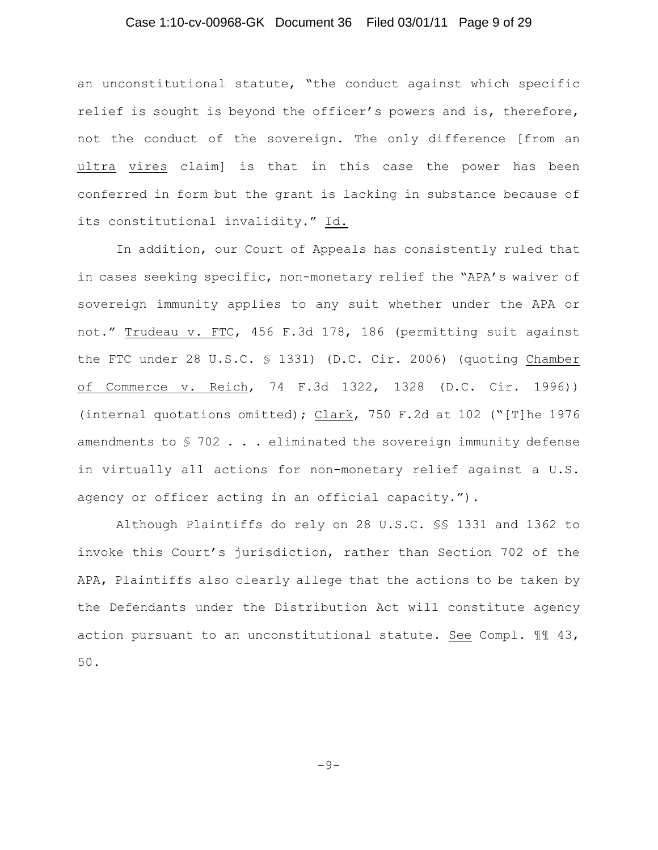### Case 1:10-cv-00968-GK Document 36 Filed 03/01/11 Page 9 of 29

an unconstitutional statute, "the conduct against which specific relief is sought is beyond the officer's powers and is, therefore, not the conduct of the sovereign. The only difference [from an ultra vires claim] is that in this case the power has been conferred in form but the grant is lacking in substance because of its constitutional invalidity." Id.

In addition, our Court of Appeals has consistently ruled that in cases seeking specific, non-monetary relief the "APA's waiver of sovereign immunity applies to any suit whether under the APA or not." Trudeau v. FTC, 456 F.3d 178, 186 (permitting suit against the FTC under 28 U.S.C. § 1331) (D.C. Cir. 2006) (quoting Chamber of Commerce v. Reich, 74 F.3d 1322, 1328 (D.C. Cir. 1996)) (internal quotations omitted); Clark, 750 F.2d at 102 ("[T]he 1976 amendments to  $S$  702 . . . eliminated the sovereign immunity defense in virtually all actions for non-monetary relief against a U.S. agency or officer acting in an official capacity.").

Although Plaintiffs do rely on 28 U.S.C. §§ 1331 and 1362 to invoke this Court's jurisdiction, rather than Section 702 of the APA, Plaintiffs also clearly allege that the actions to be taken by the Defendants under the Distribution Act will constitute agency action pursuant to an unconstitutional statute. See Compl. ¶¶ 43, 50.

 $-9-$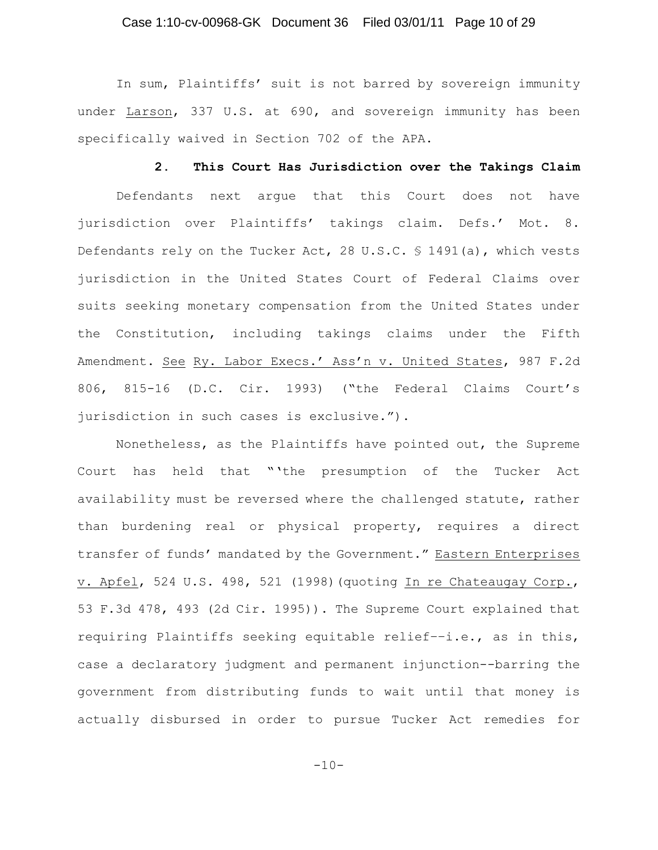## Case 1:10-cv-00968-GK Document 36 Filed 03/01/11 Page 10 of 29

In sum, Plaintiffs' suit is not barred by sovereign immunity under Larson, 337 U.S. at 690, and sovereign immunity has been specifically waived in Section 702 of the APA.

### **2. This Court Has Jurisdiction over the Takings Claim**

Defendants next argue that this Court does not have jurisdiction over Plaintiffs' takings claim. Defs.' Mot. 8. Defendants rely on the Tucker Act, 28 U.S.C. § 1491(a), which vests jurisdiction in the United States Court of Federal Claims over suits seeking monetary compensation from the United States under the Constitution, including takings claims under the Fifth Amendment. See Ry. Labor Execs.' Ass'n v. United States, 987 F.2d 806, 815-16 (D.C. Cir. 1993) ("the Federal Claims Court's jurisdiction in such cases is exclusive.").

Nonetheless, as the Plaintiffs have pointed out, the Supreme Court has held that "'the presumption of the Tucker Act availability must be reversed where the challenged statute, rather than burdening real or physical property, requires a direct transfer of funds' mandated by the Government." Eastern Enterprises v. Apfel, 524 U.S. 498, 521 (1998)(quoting In re Chateaugay Corp., 53 F.3d 478, 493 (2d Cir. 1995)). The Supreme Court explained that requiring Plaintiffs seeking equitable relief––i.e., as in this, case a declaratory judgment and permanent injunction--barring the government from distributing funds to wait until that money is actually disbursed in order to pursue Tucker Act remedies for

 $-10-$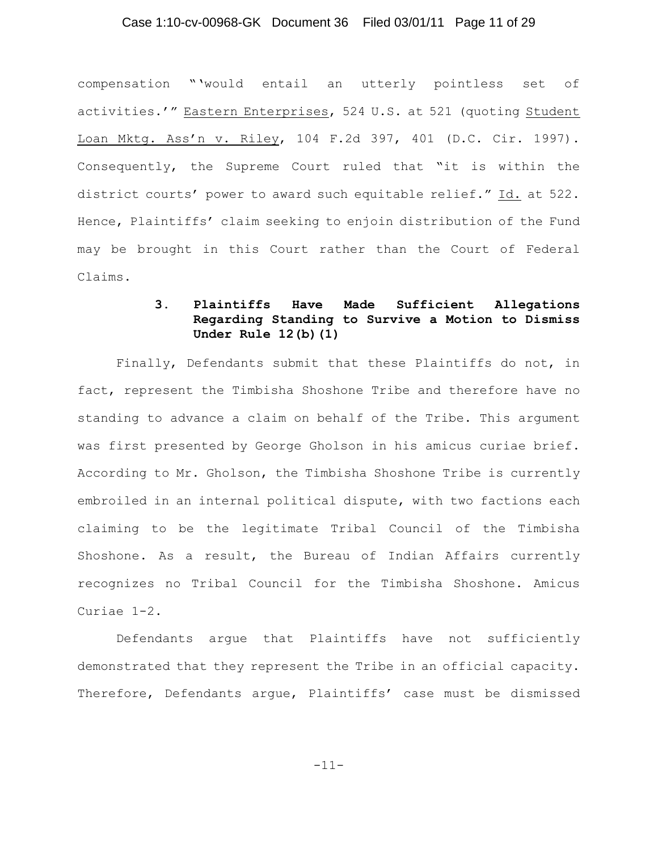### Case 1:10-cv-00968-GK Document 36 Filed 03/01/11 Page 11 of 29

compensation "'would entail an utterly pointless set of activities.'" Eastern Enterprises, 524 U.S. at 521 (quoting Student Loan Mktg. Ass'n v. Riley, 104 F.2d 397, 401 (D.C. Cir. 1997). Consequently, the Supreme Court ruled that "it is within the district courts' power to award such equitable relief." Id. at 522. Hence, Plaintiffs' claim seeking to enjoin distribution of the Fund may be brought in this Court rather than the Court of Federal Claims.

### **3. Plaintiffs Have Made Sufficient Allegations Regarding Standing to Survive a Motion to Dismiss Under Rule 12(b)(1)**

Finally, Defendants submit that these Plaintiffs do not, in fact, represent the Timbisha Shoshone Tribe and therefore have no standing to advance a claim on behalf of the Tribe. This argument was first presented by George Gholson in his amicus curiae brief. According to Mr. Gholson, the Timbisha Shoshone Tribe is currently embroiled in an internal political dispute, with two factions each claiming to be the legitimate Tribal Council of the Timbisha Shoshone. As a result, the Bureau of Indian Affairs currently recognizes no Tribal Council for the Timbisha Shoshone. Amicus Curiae 1-2.

Defendants argue that Plaintiffs have not sufficiently demonstrated that they represent the Tribe in an official capacity. Therefore, Defendants argue, Plaintiffs' case must be dismissed

-11-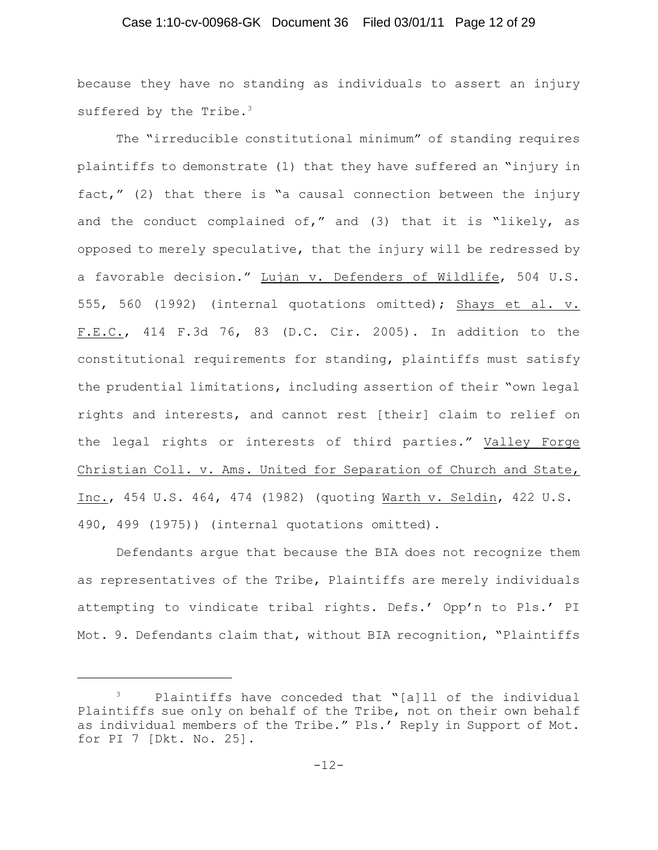### Case 1:10-cv-00968-GK Document 36 Filed 03/01/11 Page 12 of 29

because they have no standing as individuals to assert an injury suffered by the Tribe.<sup>3</sup>

The "irreducible constitutional minimum" of standing requires plaintiffs to demonstrate (1) that they have suffered an "injury in fact," (2) that there is "a causal connection between the injury and the conduct complained of," and (3) that it is "likely, as opposed to merely speculative, that the injury will be redressed by a favorable decision." Lujan v. Defenders of Wildlife, 504 U.S. 555, 560 (1992) (internal quotations omitted); Shays et al. v. F.E.C., 414 F.3d 76, 83 (D.C. Cir. 2005). In addition to the constitutional requirements for standing, plaintiffs must satisfy the prudential limitations, including assertion of their "own legal rights and interests, and cannot rest [their] claim to relief on the legal rights or interests of third parties." Valley Forge Christian Coll. v. Ams. United for Separation of Church and State, Inc., 454 U.S. 464, 474 (1982) (quoting Warth v. Seldin, 422 U.S. 490, 499 (1975)) (internal quotations omitted).

Defendants argue that because the BIA does not recognize them as representatives of the Tribe, Plaintiffs are merely individuals attempting to vindicate tribal rights. Defs.' Opp'n to Pls.' PI Mot. 9. Defendants claim that, without BIA recognition, "Plaintiffs

Plaintiffs have conceded that "[a]ll of the individual 3 Plaintiffs sue only on behalf of the Tribe, not on their own behalf as individual members of the Tribe." Pls.' Reply in Support of Mot. for PI 7 [Dkt. No. 25].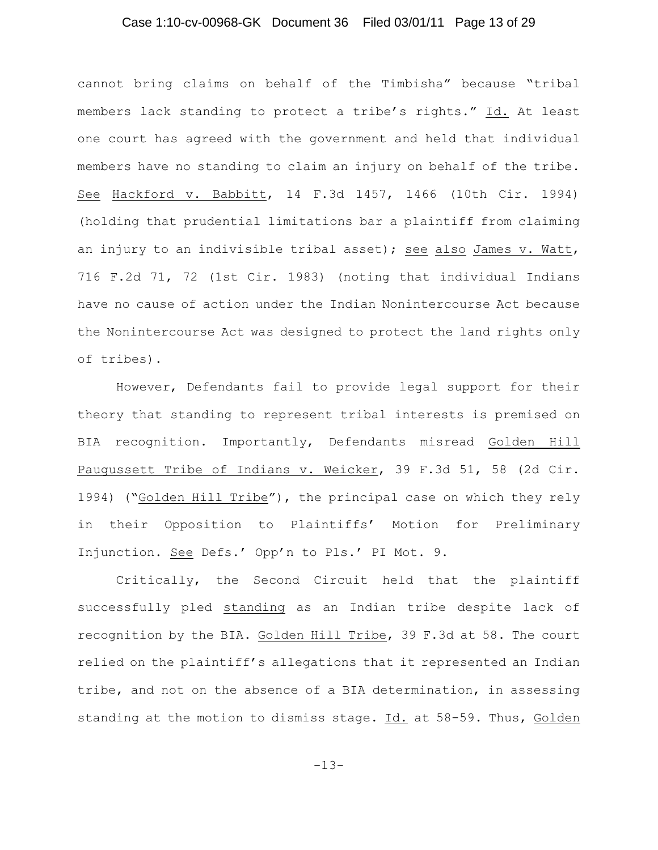### Case 1:10-cv-00968-GK Document 36 Filed 03/01/11 Page 13 of 29

cannot bring claims on behalf of the Timbisha" because "tribal members lack standing to protect a tribe's rights." Id. At least one court has agreed with the government and held that individual members have no standing to claim an injury on behalf of the tribe. See Hackford v. Babbitt, 14 F.3d 1457, 1466 (10th Cir. 1994) (holding that prudential limitations bar a plaintiff from claiming an injury to an indivisible tribal asset); see also James v. Watt, 716 F.2d 71, 72 (1st Cir. 1983) (noting that individual Indians have no cause of action under the Indian Nonintercourse Act because the Nonintercourse Act was designed to protect the land rights only of tribes).

However, Defendants fail to provide legal support for their theory that standing to represent tribal interests is premised on BIA recognition. Importantly, Defendants misread Golden Hill Paugussett Tribe of Indians v. Weicker, 39 F.3d 51, 58 (2d Cir. 1994) ("Golden Hill Tribe"), the principal case on which they rely in their Opposition to Plaintiffs' Motion for Preliminary Injunction. See Defs.' Opp'n to Pls.' PI Mot. 9.

Critically, the Second Circuit held that the plaintiff successfully pled standing as an Indian tribe despite lack of recognition by the BIA. Golden Hill Tribe, 39 F.3d at 58. The court relied on the plaintiff's allegations that it represented an Indian tribe, and not on the absence of a BIA determination, in assessing standing at the motion to dismiss stage. Id. at 58-59. Thus, Golden

-13-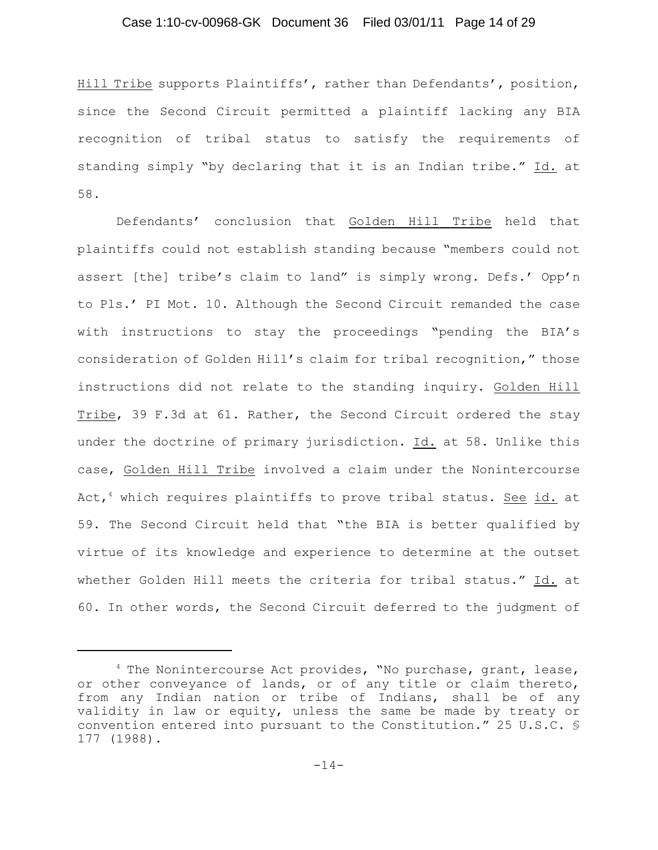### Case 1:10-cv-00968-GK Document 36 Filed 03/01/11 Page 14 of 29

Hill Tribe supports Plaintiffs', rather than Defendants', position, since the Second Circuit permitted a plaintiff lacking any BIA recognition of tribal status to satisfy the requirements of standing simply "by declaring that it is an Indian tribe." Id. at 58.

Defendants' conclusion that Golden Hill Tribe held that plaintiffs could not establish standing because "members could not assert [the] tribe's claim to land" is simply wrong. Defs.' Opp'n to Pls.' PI Mot. 10. Although the Second Circuit remanded the case with instructions to stay the proceedings "pending the BIA's consideration of Golden Hill's claim for tribal recognition," those instructions did not relate to the standing inquiry. Golden Hill Tribe, 39 F.3d at 61. Rather, the Second Circuit ordered the stay under the doctrine of primary jurisdiction. Id. at 58. Unlike this case, Golden Hill Tribe involved a claim under the Nonintercourse Act,<sup>4</sup> which requires plaintiffs to prove tribal status. See id. at 59. The Second Circuit held that "the BIA is better qualified by virtue of its knowledge and experience to determine at the outset whether Golden Hill meets the criteria for tribal status." Id. at 60. In other words, the Second Circuit deferred to the judgment of

 $4$  The Nonintercourse Act provides, "No purchase, grant, lease, or other conveyance of lands, or of any title or claim thereto, from any Indian nation or tribe of Indians, shall be of any validity in law or equity, unless the same be made by treaty or convention entered into pursuant to the Constitution." 25 U.S.C. § 177 (1988).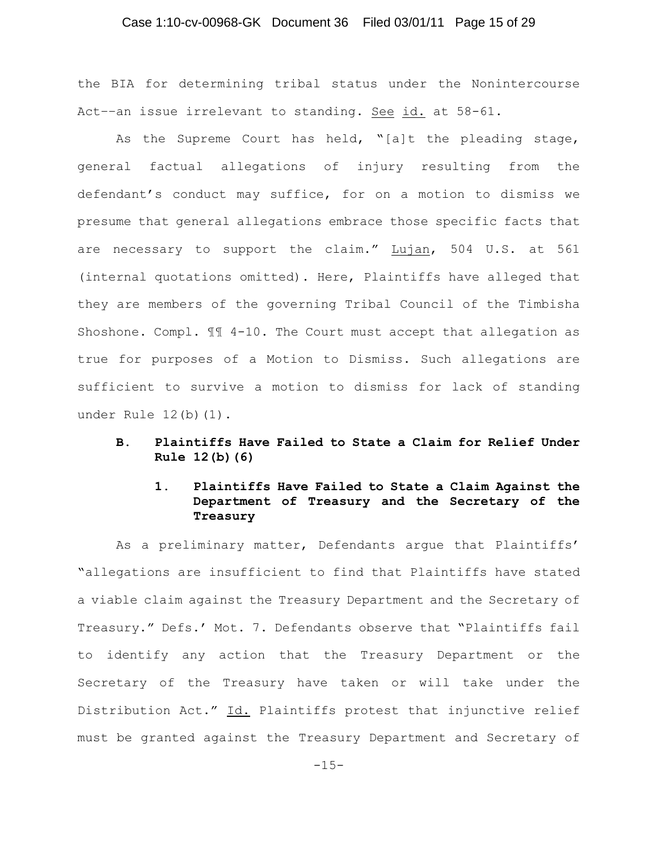## Case 1:10-cv-00968-GK Document 36 Filed 03/01/11 Page 15 of 29

the BIA for determining tribal status under the Nonintercourse Act––an issue irrelevant to standing. See id. at 58-61.

As the Supreme Court has held, "[a]t the pleading stage, general factual allegations of injury resulting from the defendant's conduct may suffice, for on a motion to dismiss we presume that general allegations embrace those specific facts that are necessary to support the claim." Lujan, 504 U.S. at 561 (internal quotations omitted). Here, Plaintiffs have alleged that they are members of the governing Tribal Council of the Timbisha Shoshone. Compl. ¶¶ 4-10. The Court must accept that allegation as true for purposes of a Motion to Dismiss. Such allegations are sufficient to survive a motion to dismiss for lack of standing under Rule 12(b)(1).

### **B. Plaintiffs Have Failed to State a Claim for Relief Under Rule 12(b)(6)**

## **1. Plaintiffs Have Failed to State a Claim Against the Department of Treasury and the Secretary of the Treasury**

As a preliminary matter, Defendants argue that Plaintiffs' "allegations are insufficient to find that Plaintiffs have stated a viable claim against the Treasury Department and the Secretary of Treasury." Defs.' Mot. 7. Defendants observe that "Plaintiffs fail to identify any action that the Treasury Department or the Secretary of the Treasury have taken or will take under the Distribution Act." Id. Plaintiffs protest that injunctive relief must be granted against the Treasury Department and Secretary of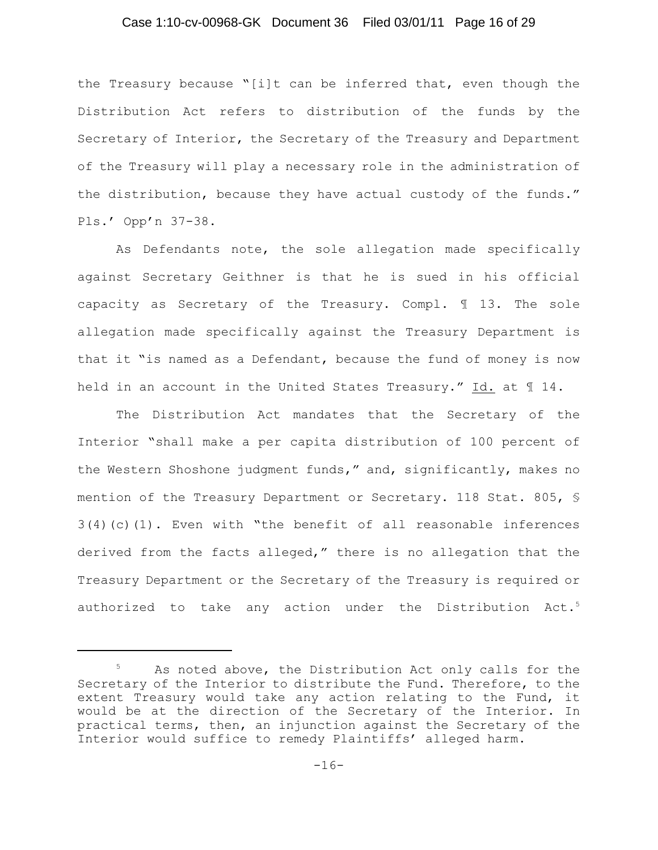### Case 1:10-cv-00968-GK Document 36 Filed 03/01/11 Page 16 of 29

the Treasury because "[i]t can be inferred that, even though the Distribution Act refers to distribution of the funds by the Secretary of Interior, the Secretary of the Treasury and Department of the Treasury will play a necessary role in the administration of the distribution, because they have actual custody of the funds." Pls.' Opp'n 37-38.

As Defendants note, the sole allegation made specifically against Secretary Geithner is that he is sued in his official capacity as Secretary of the Treasury. Compl. ¶ 13. The sole allegation made specifically against the Treasury Department is that it "is named as a Defendant, because the fund of money is now held in an account in the United States Treasury." Id. at  $\mathbb I$  14.

The Distribution Act mandates that the Secretary of the Interior "shall make a per capita distribution of 100 percent of the Western Shoshone judgment funds," and, significantly, makes no mention of the Treasury Department or Secretary. 118 Stat. 805, § 3(4)(c)(1). Even with "the benefit of all reasonable inferences derived from the facts alleged," there is no allegation that the Treasury Department or the Secretary of the Treasury is required or authorized to take any action under the Distribution Act.<sup>5</sup>

 $5$  As noted above, the Distribution Act only calls for the Secretary of the Interior to distribute the Fund. Therefore, to the extent Treasury would take any action relating to the Fund, it would be at the direction of the Secretary of the Interior. In practical terms, then, an injunction against the Secretary of the Interior would suffice to remedy Plaintiffs' alleged harm.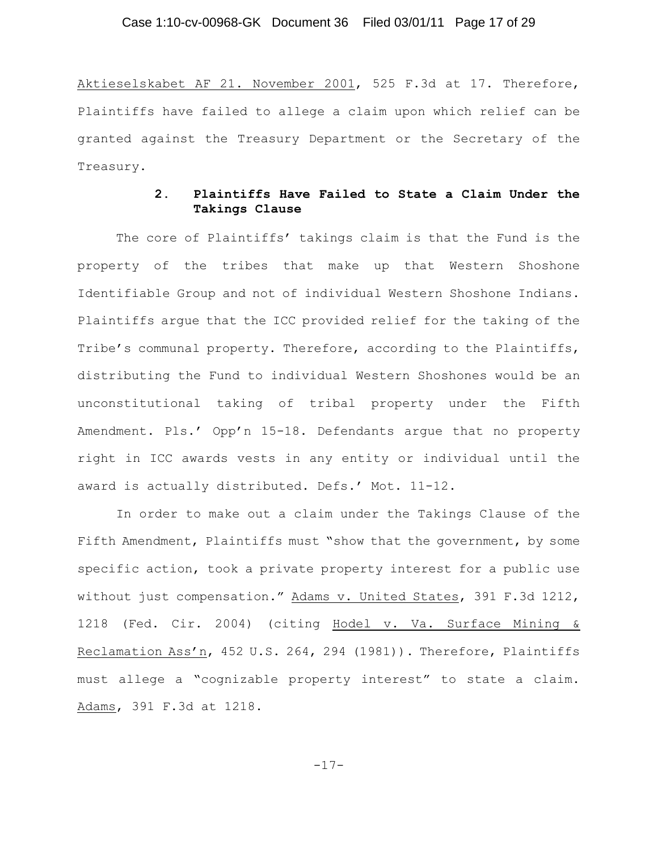Aktieselskabet AF 21. November 2001, 525 F.3d at 17. Therefore, Plaintiffs have failed to allege a claim upon which relief can be granted against the Treasury Department or the Secretary of the Treasury.

### **2. Plaintiffs Have Failed to State a Claim Under the Takings Clause**

The core of Plaintiffs' takings claim is that the Fund is the property of the tribes that make up that Western Shoshone Identifiable Group and not of individual Western Shoshone Indians. Plaintiffs argue that the ICC provided relief for the taking of the Tribe's communal property. Therefore, according to the Plaintiffs, distributing the Fund to individual Western Shoshones would be an unconstitutional taking of tribal property under the Fifth Amendment. Pls.' Opp'n 15-18. Defendants argue that no property right in ICC awards vests in any entity or individual until the award is actually distributed. Defs.' Mot. 11-12.

In order to make out a claim under the Takings Clause of the Fifth Amendment, Plaintiffs must "show that the government, by some specific action, took a private property interest for a public use without just compensation." Adams v. United States, 391 F.3d 1212, 1218 (Fed. Cir. 2004) (citing Hodel v. Va. Surface Mining & Reclamation Ass'n, 452 U.S. 264, 294 (1981)). Therefore, Plaintiffs must allege a "cognizable property interest" to state a claim. Adams, 391 F.3d at 1218.

-17-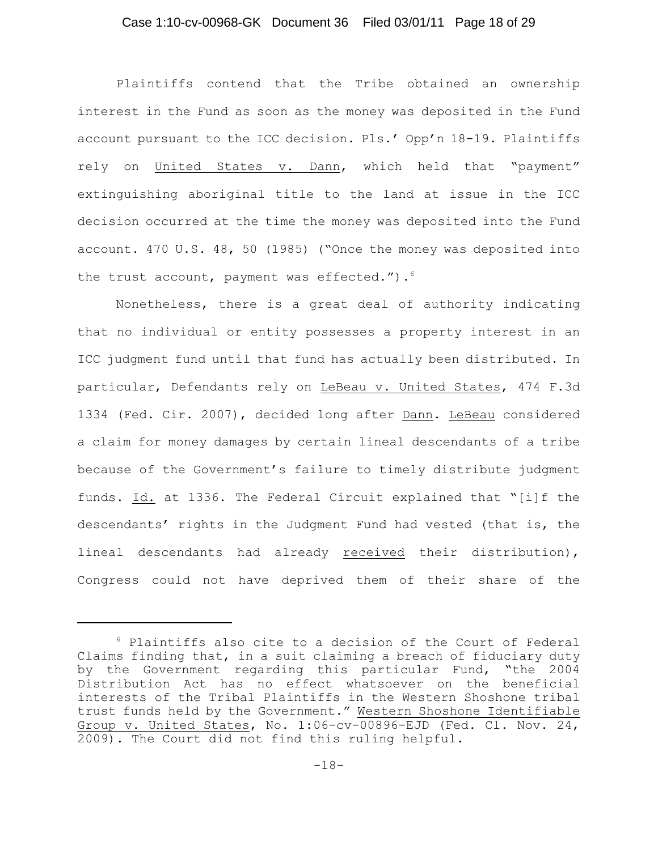### Case 1:10-cv-00968-GK Document 36 Filed 03/01/11 Page 18 of 29

Plaintiffs contend that the Tribe obtained an ownership interest in the Fund as soon as the money was deposited in the Fund account pursuant to the ICC decision. Pls.' Opp'n 18-19. Plaintiffs rely on United States v. Dann, which held that "payment" extinguishing aboriginal title to the land at issue in the ICC decision occurred at the time the money was deposited into the Fund account. 470 U.S. 48, 50 (1985) ("Once the money was deposited into the trust account, payment was effected."). $6$ 

Nonetheless, there is a great deal of authority indicating that no individual or entity possesses a property interest in an ICC judgment fund until that fund has actually been distributed. In particular, Defendants rely on LeBeau v. United States, 474 F.3d 1334 (Fed. Cir. 2007), decided long after Dann. LeBeau considered a claim for money damages by certain lineal descendants of a tribe because of the Government's failure to timely distribute judgment funds. Id. at 1336. The Federal Circuit explained that "[i]f the descendants' rights in the Judgment Fund had vested (that is, the lineal descendants had already received their distribution), Congress could not have deprived them of their share of the

 $6$  Plaintiffs also cite to a decision of the Court of Federal Claims finding that, in a suit claiming a breach of fiduciary duty by the Government regarding this particular Fund, "the 2004 Distribution Act has no effect whatsoever on the beneficial interests of the Tribal Plaintiffs in the Western Shoshone tribal trust funds held by the Government." Western Shoshone Identifiable Group v. United States, No. 1:06-cv-00896-EJD (Fed. Cl. Nov. 24, 2009). The Court did not find this ruling helpful.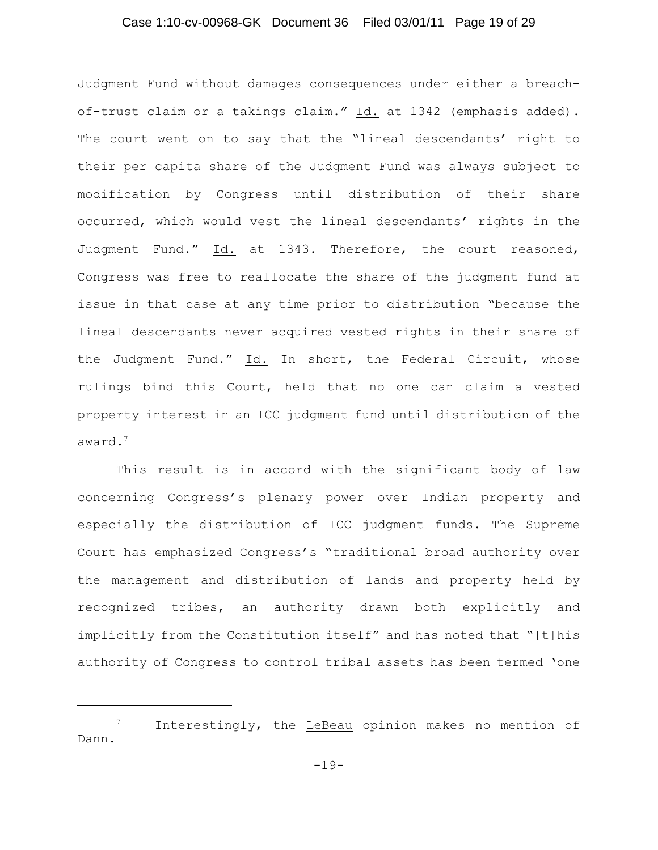### Case 1:10-cv-00968-GK Document 36 Filed 03/01/11 Page 19 of 29

Judgment Fund without damages consequences under either a breachof-trust claim or a takings claim." Id. at 1342 (emphasis added). The court went on to say that the "lineal descendants' right to their per capita share of the Judgment Fund was always subject to modification by Congress until distribution of their share occurred, which would vest the lineal descendants' rights in the Judgment Fund." Id. at 1343. Therefore, the court reasoned, Congress was free to reallocate the share of the judgment fund at issue in that case at any time prior to distribution "because the lineal descendants never acquired vested rights in their share of the Judgment Fund." Id. In short, the Federal Circuit, whose rulings bind this Court, held that no one can claim a vested property interest in an ICC judgment fund until distribution of the award.<sup>7</sup>

This result is in accord with the significant body of law concerning Congress's plenary power over Indian property and especially the distribution of ICC judgment funds. The Supreme Court has emphasized Congress's "traditional broad authority over the management and distribution of lands and property held by recognized tribes, an authority drawn both explicitly and implicitly from the Constitution itself" and has noted that "[t]his authority of Congress to control tribal assets has been termed 'one

 $\frac{7}{10}$  Interestingly, the LeBeau opinion makes no mention of Dann.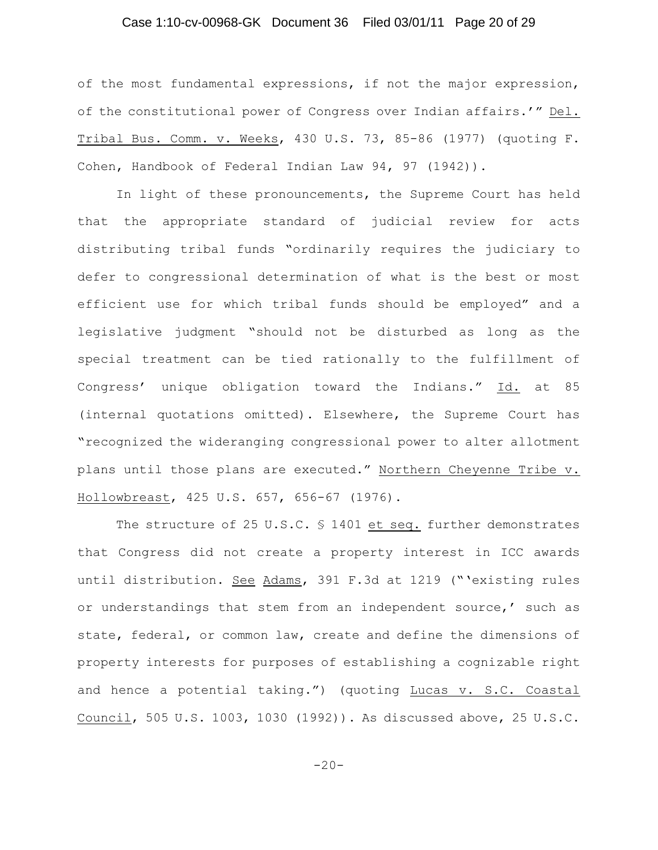### Case 1:10-cv-00968-GK Document 36 Filed 03/01/11 Page 20 of 29

of the most fundamental expressions, if not the major expression, of the constitutional power of Congress over Indian affairs.'" Del. Tribal Bus. Comm. v. Weeks, 430 U.S. 73, 85-86 (1977) (quoting F. Cohen, Handbook of Federal Indian Law 94, 97 (1942)).

In light of these pronouncements, the Supreme Court has held that the appropriate standard of judicial review for acts distributing tribal funds "ordinarily requires the judiciary to defer to congressional determination of what is the best or most efficient use for which tribal funds should be employed" and a legislative judgment "should not be disturbed as long as the special treatment can be tied rationally to the fulfillment of Congress' unique obligation toward the Indians." Id. at 85 (internal quotations omitted). Elsewhere, the Supreme Court has "recognized the wideranging congressional power to alter allotment plans until those plans are executed." Northern Cheyenne Tribe v. Hollowbreast, 425 U.S. 657, 656-67 (1976).

The structure of 25 U.S.C. § 1401 et seq. further demonstrates that Congress did not create a property interest in ICC awards until distribution. See Adams, 391 F.3d at 1219 ("'existing rules or understandings that stem from an independent source,' such as state, federal, or common law, create and define the dimensions of property interests for purposes of establishing a cognizable right and hence a potential taking.") (quoting Lucas v. S.C. Coastal Council, 505 U.S. 1003, 1030 (1992)). As discussed above, 25 U.S.C.

 $-20-$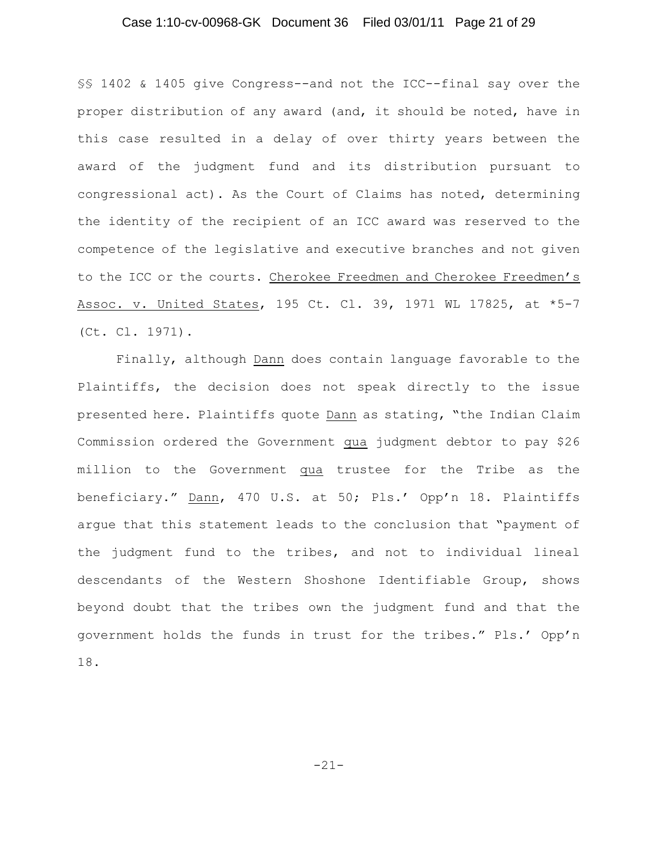## Case 1:10-cv-00968-GK Document 36 Filed 03/01/11 Page 21 of 29

§§ 1402 & 1405 give Congress--and not the ICC--final say over the proper distribution of any award (and, it should be noted, have in this case resulted in a delay of over thirty years between the award of the judgment fund and its distribution pursuant to congressional act). As the Court of Claims has noted, determining the identity of the recipient of an ICC award was reserved to the competence of the legislative and executive branches and not given to the ICC or the courts. Cherokee Freedmen and Cherokee Freedmen's Assoc. v. United States, 195 Ct. Cl. 39, 1971 WL 17825, at \*5-7 (Ct. Cl. 1971).

Finally, although Dann does contain language favorable to the Plaintiffs, the decision does not speak directly to the issue presented here. Plaintiffs quote Dann as stating, "the Indian Claim Commission ordered the Government qua judgment debtor to pay \$26 million to the Government qua trustee for the Tribe as the beneficiary." Dann, 470 U.S. at 50; Pls.' Opp'n 18. Plaintiffs argue that this statement leads to the conclusion that "payment of the judgment fund to the tribes, and not to individual lineal descendants of the Western Shoshone Identifiable Group, shows beyond doubt that the tribes own the judgment fund and that the government holds the funds in trust for the tribes." Pls.' Opp'n 18.

-21-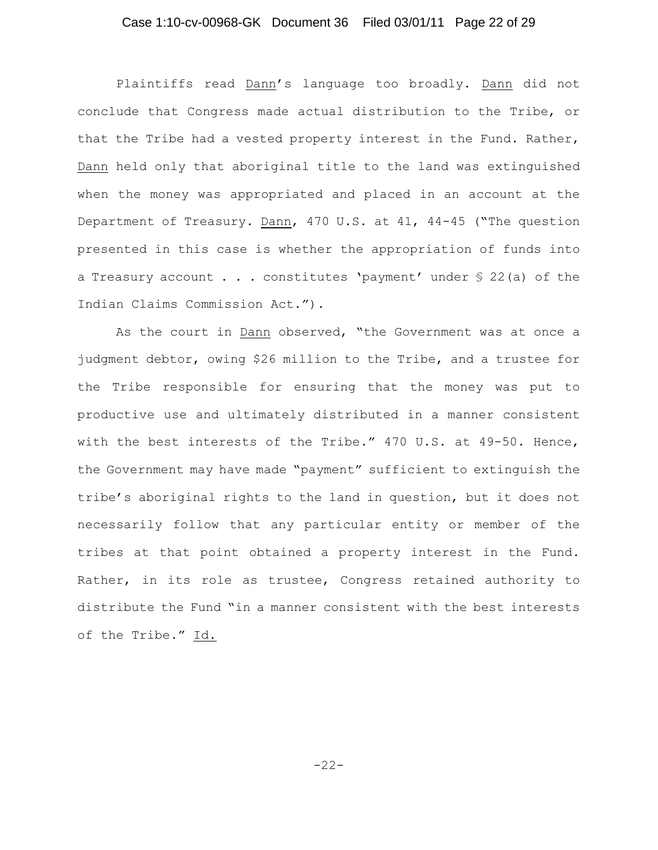### Case 1:10-cv-00968-GK Document 36 Filed 03/01/11 Page 22 of 29

Plaintiffs read Dann's language too broadly. Dann did not conclude that Congress made actual distribution to the Tribe, or that the Tribe had a vested property interest in the Fund. Rather, Dann held only that aboriginal title to the land was extinguished when the money was appropriated and placed in an account at the Department of Treasury. Dann, 470 U.S. at 41, 44-45 ("The question presented in this case is whether the appropriation of funds into a Treasury account  $\ldots$  constitutes 'payment' under § 22(a) of the Indian Claims Commission Act.").

As the court in Dann observed, "the Government was at once a judgment debtor, owing \$26 million to the Tribe, and a trustee for the Tribe responsible for ensuring that the money was put to productive use and ultimately distributed in a manner consistent with the best interests of the Tribe." 470 U.S. at 49-50. Hence, the Government may have made "payment" sufficient to extinguish the tribe's aboriginal rights to the land in question, but it does not necessarily follow that any particular entity or member of the tribes at that point obtained a property interest in the Fund. Rather, in its role as trustee, Congress retained authority to distribute the Fund "in a manner consistent with the best interests of the Tribe." Id.

-22-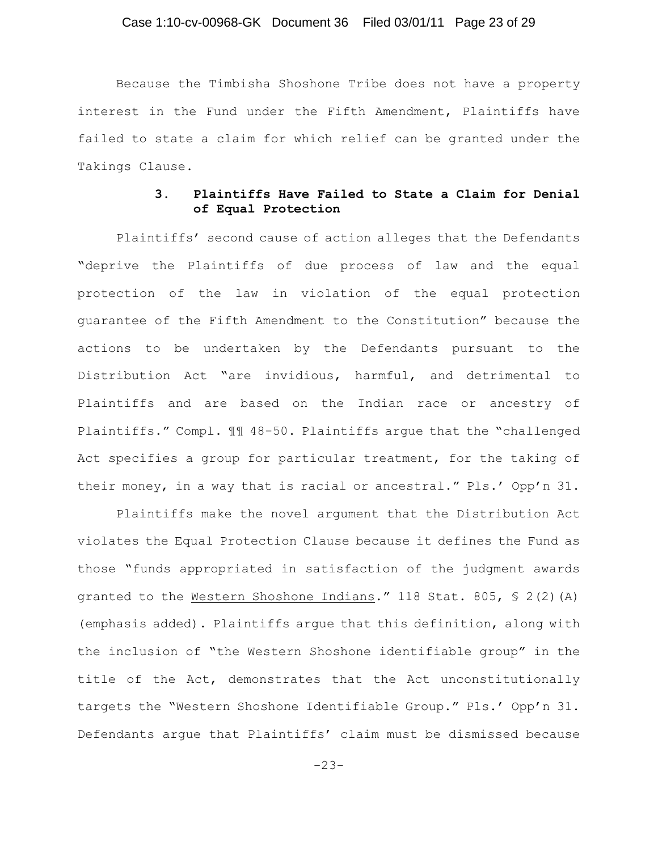## Case 1:10-cv-00968-GK Document 36 Filed 03/01/11 Page 23 of 29

Because the Timbisha Shoshone Tribe does not have a property interest in the Fund under the Fifth Amendment, Plaintiffs have failed to state a claim for which relief can be granted under the Takings Clause.

## **3. Plaintiffs Have Failed to State a Claim for Denial of Equal Protection**

Plaintiffs' second cause of action alleges that the Defendants "deprive the Plaintiffs of due process of law and the equal protection of the law in violation of the equal protection guarantee of the Fifth Amendment to the Constitution" because the actions to be undertaken by the Defendants pursuant to the Distribution Act "are invidious, harmful, and detrimental to Plaintiffs and are based on the Indian race or ancestry of Plaintiffs." Compl. ¶¶ 48-50. Plaintiffs argue that the "challenged Act specifies a group for particular treatment, for the taking of their money, in a way that is racial or ancestral." Pls.' Opp'n 31.

Plaintiffs make the novel argument that the Distribution Act violates the Equal Protection Clause because it defines the Fund as those "funds appropriated in satisfaction of the judgment awards granted to the Western Shoshone Indians." 118 Stat. 805, § 2(2)(A) (emphasis added). Plaintiffs argue that this definition, along with the inclusion of "the Western Shoshone identifiable group" in the title of the Act, demonstrates that the Act unconstitutionally targets the "Western Shoshone Identifiable Group." Pls.' Opp'n 31. Defendants argue that Plaintiffs' claim must be dismissed because

-23-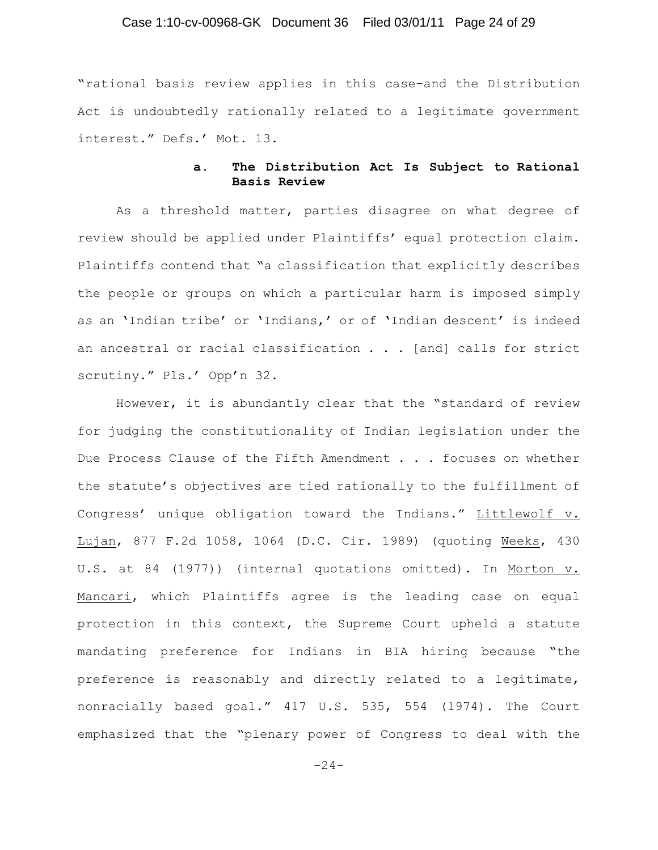### Case 1:10-cv-00968-GK Document 36 Filed 03/01/11 Page 24 of 29

"rational basis review applies in this case–and the Distribution Act is undoubtedly rationally related to a legitimate government interest." Defs.' Mot. 13.

### **a. The Distribution Act Is Subject to Rational Basis Review**

As a threshold matter, parties disagree on what degree of review should be applied under Plaintiffs' equal protection claim. Plaintiffs contend that "a classification that explicitly describes the people or groups on which a particular harm is imposed simply as an 'Indian tribe' or 'Indians,' or of 'Indian descent' is indeed an ancestral or racial classification . . . [and] calls for strict scrutiny." Pls.' Opp'n 32.

However, it is abundantly clear that the "standard of review for judging the constitutionality of Indian legislation under the Due Process Clause of the Fifth Amendment . . . focuses on whether the statute's objectives are tied rationally to the fulfillment of Congress' unique obligation toward the Indians." Littlewolf v. Lujan, 877 F.2d 1058, 1064 (D.C. Cir. 1989) (quoting Weeks, 430 U.S. at 84 (1977)) (internal quotations omitted). In Morton v. Mancari, which Plaintiffs agree is the leading case on equal protection in this context, the Supreme Court upheld a statute mandating preference for Indians in BIA hiring because "the preference is reasonably and directly related to a legitimate, nonracially based goal." 417 U.S. 535, 554 (1974). The Court emphasized that the "plenary power of Congress to deal with the

 $-24-$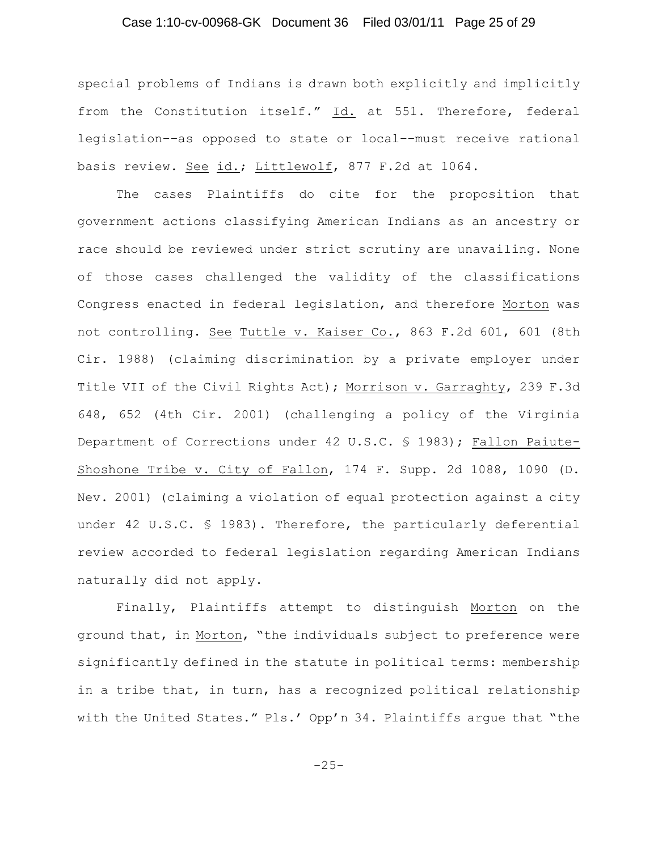## Case 1:10-cv-00968-GK Document 36 Filed 03/01/11 Page 25 of 29

special problems of Indians is drawn both explicitly and implicitly from the Constitution itself." Id. at 551. Therefore, federal legislation––as opposed to state or local––must receive rational basis review. See id.; Littlewolf, 877 F.2d at 1064.

The cases Plaintiffs do cite for the proposition that government actions classifying American Indians as an ancestry or race should be reviewed under strict scrutiny are unavailing. None of those cases challenged the validity of the classifications Congress enacted in federal legislation, and therefore Morton was not controlling. See Tuttle v. Kaiser Co., 863 F.2d 601, 601 (8th Cir. 1988) (claiming discrimination by a private employer under Title VII of the Civil Rights Act); Morrison v. Garraghty, 239 F.3d 648, 652 (4th Cir. 2001) (challenging a policy of the Virginia Department of Corrections under 42 U.S.C. § 1983); Fallon Paiute-Shoshone Tribe v. City of Fallon, 174 F. Supp. 2d 1088, 1090 (D. Nev. 2001) (claiming a violation of equal protection against a city under 42 U.S.C. § 1983). Therefore, the particularly deferential review accorded to federal legislation regarding American Indians naturally did not apply.

Finally, Plaintiffs attempt to distinguish Morton on the ground that, in Morton, "the individuals subject to preference were significantly defined in the statute in political terms: membership in a tribe that, in turn, has a recognized political relationship with the United States." Pls.' Opp'n 34. Plaintiffs arque that "the

-25-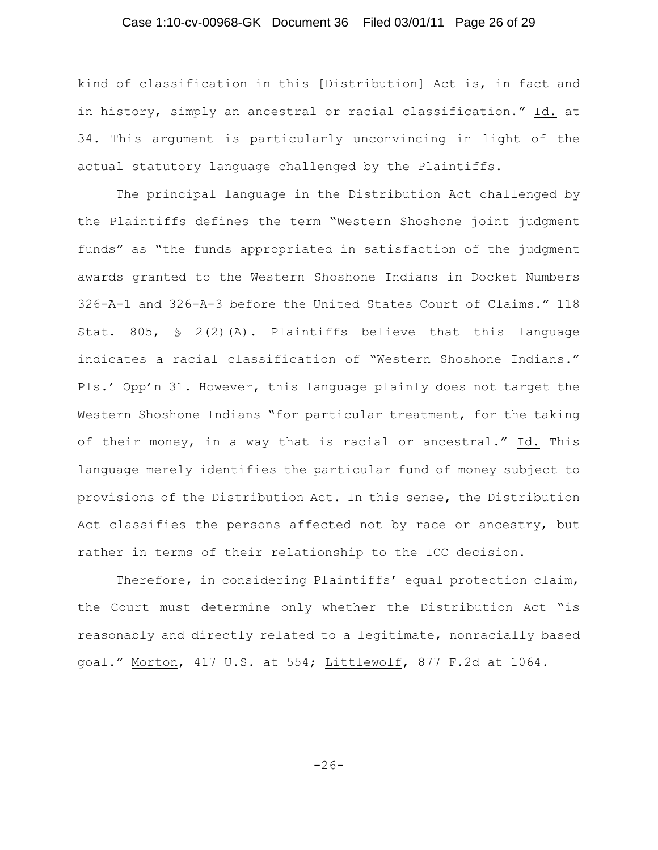### Case 1:10-cv-00968-GK Document 36 Filed 03/01/11 Page 26 of 29

kind of classification in this [Distribution] Act is, in fact and in history, simply an ancestral or racial classification." Id. at 34. This argument is particularly unconvincing in light of the actual statutory language challenged by the Plaintiffs.

The principal language in the Distribution Act challenged by the Plaintiffs defines the term "Western Shoshone joint judgment funds" as "the funds appropriated in satisfaction of the judgment awards granted to the Western Shoshone Indians in Docket Numbers 326-A-1 and 326-A-3 before the United States Court of Claims." 118 Stat. 805,  $\leq$  2(2)(A). Plaintiffs believe that this language indicates a racial classification of "Western Shoshone Indians." Pls.' Opp'n 31. However, this language plainly does not target the Western Shoshone Indians "for particular treatment, for the taking of their money, in a way that is racial or ancestral." Id. This language merely identifies the particular fund of money subject to provisions of the Distribution Act. In this sense, the Distribution Act classifies the persons affected not by race or ancestry, but rather in terms of their relationship to the ICC decision.

Therefore, in considering Plaintiffs' equal protection claim, the Court must determine only whether the Distribution Act "is reasonably and directly related to a legitimate, nonracially based goal." Morton, 417 U.S. at 554; Littlewolf, 877 F.2d at 1064.

-26-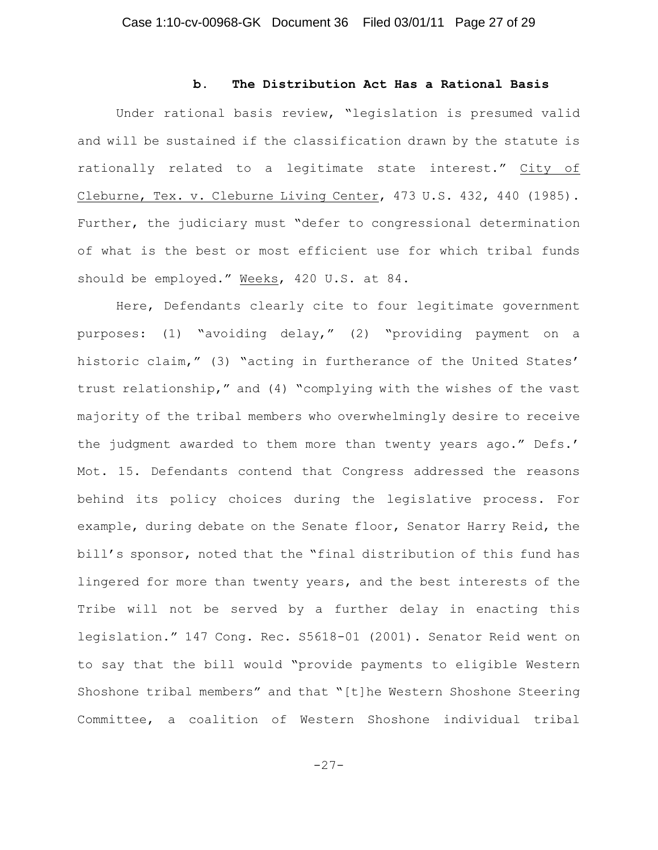#### **b. The Distribution Act Has a Rational Basis**

Under rational basis review, "legislation is presumed valid and will be sustained if the classification drawn by the statute is rationally related to a legitimate state interest." City of Cleburne, Tex. v. Cleburne Living Center, 473 U.S. 432, 440 (1985). Further, the judiciary must "defer to congressional determination of what is the best or most efficient use for which tribal funds should be employed." Weeks, 420 U.S. at 84.

Here, Defendants clearly cite to four legitimate government purposes: (1) "avoiding delay," (2) "providing payment on a historic claim," (3) "acting in furtherance of the United States' trust relationship," and (4) "complying with the wishes of the vast majority of the tribal members who overwhelmingly desire to receive the judgment awarded to them more than twenty years ago." Defs.' Mot. 15. Defendants contend that Congress addressed the reasons behind its policy choices during the legislative process. For example, during debate on the Senate floor, Senator Harry Reid, the bill's sponsor, noted that the "final distribution of this fund has lingered for more than twenty years, and the best interests of the Tribe will not be served by a further delay in enacting this legislation." 147 Cong. Rec. S5618-01 (2001). Senator Reid went on to say that the bill would "provide payments to eligible Western Shoshone tribal members" and that "[t]he Western Shoshone Steering Committee, a coalition of Western Shoshone individual tribal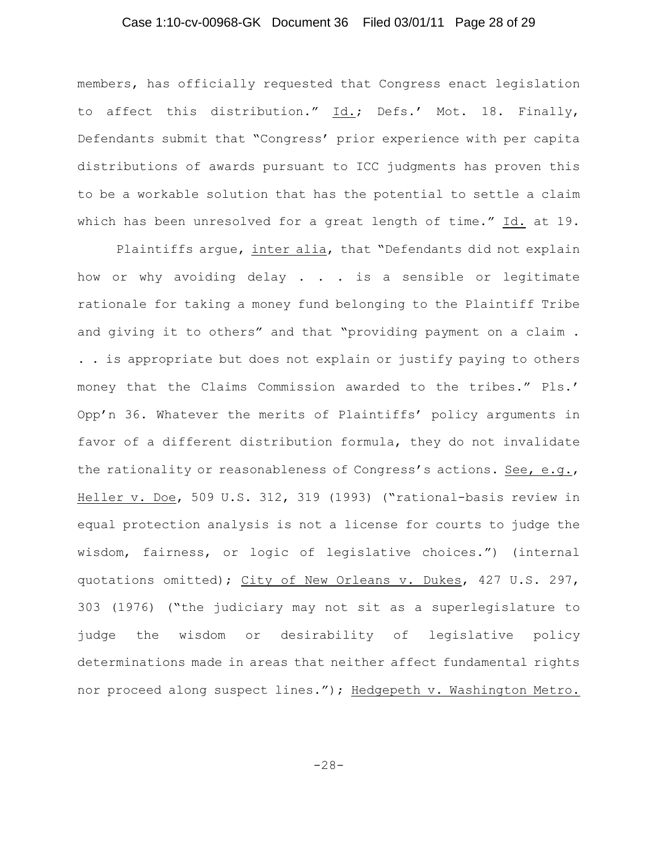### Case 1:10-cv-00968-GK Document 36 Filed 03/01/11 Page 28 of 29

members, has officially requested that Congress enact legislation to affect this distribution." Id.; Defs.' Mot. 18. Finally, Defendants submit that "Congress' prior experience with per capita distributions of awards pursuant to ICC judgments has proven this to be a workable solution that has the potential to settle a claim which has been unresolved for a great length of time." Id. at 19.

Plaintiffs argue, inter alia, that "Defendants did not explain how or why avoiding delay . . . is a sensible or legitimate rationale for taking a money fund belonging to the Plaintiff Tribe and giving it to others" and that "providing payment on a claim . . . is appropriate but does not explain or justify paying to others money that the Claims Commission awarded to the tribes." Pls.' Opp'n 36. Whatever the merits of Plaintiffs' policy arguments in favor of a different distribution formula, they do not invalidate the rationality or reasonableness of Congress's actions. See, e.g., Heller v. Doe, 509 U.S. 312, 319 (1993) ("rational-basis review in equal protection analysis is not a license for courts to judge the wisdom, fairness, or logic of legislative choices.") (internal quotations omitted); City of New Orleans v. Dukes, 427 U.S. 297, 303 (1976) ("the judiciary may not sit as a superlegislature to judge the wisdom or desirability of legislative policy determinations made in areas that neither affect fundamental rights nor proceed along suspect lines."); Hedgepeth v. Washington Metro.

-28-